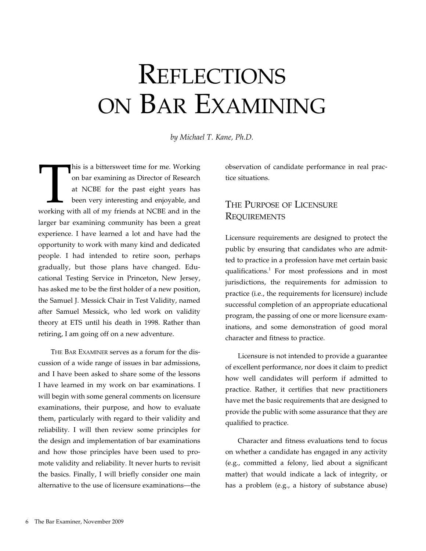# **REFLECTIONS** ON BAR EXAMINING

*by Michael T. Kane, Ph.D.*

This is a bittersweet time for me. Working<br>
on bar examining as Director of Research<br>
at NCBE for the past eight years has<br>
been very interesting and enjoyable, and<br>
working with all of my friends at NCBE and in the on bar examining as Director of Research at NCBE for the past eight years has been very interesting and enjoyable, and larger bar examining community has been a great experience. I have learned a lot and have had the opportunity to work with many kind and dedicated people. I had intended to retire soon, perhaps gradually, but those plans have changed. Educational Testing Service in Princeton, New Jersey, has asked me to be the first holder of a new position, the Samuel J. Messick Chair in Test Validity, named after Samuel Messick, who led work on validity theory at ETS until his death in 1998. Rather than retiring, I am going off on a new adventure.

The Bar Examiner serves as a forum for the discussion of a wide range of issues in bar admissions, and I have been asked to share some of the lessons I have learned in my work on bar examinations. I will begin with some general comments on licensure examinations, their purpose, and how to evaluate them, particularly with regard to their validity and reliability. I will then review some principles for the design and implementation of bar examinations and how those principles have been used to promote validity and reliability. It never hurts to revisit the basics. Finally, I will briefly consider one main alternative to the use of licensure examinations—the observation of candidate performance in real practice situations.

# The Purpose of Licensure **REQUIREMENTS**

Licensure requirements are designed to protect the public by ensuring that candidates who are admitted to practice in a profession have met certain basic qualifications.<sup>1</sup> For most professions and in most jurisdictions, the requirements for admission to practice (i.e., the requirements for licensure) include successful completion of an appropriate educational program, the passing of one or more licensure examinations, and some demonstration of good moral character and fitness to practice.

Licensure is not intended to provide a guarantee of excellent performance, nor does it claim to predict how well candidates will perform if admitted to practice. Rather, it certifies that new practitioners have met the basic requirements that are designed to provide the public with some assurance that they are qualified to practice.

Character and fitness evaluations tend to focus on whether a candidate has engaged in any activity (e.g., committed a felony, lied about a significant matter) that would indicate a lack of integrity, or has a problem (e.g., a history of substance abuse)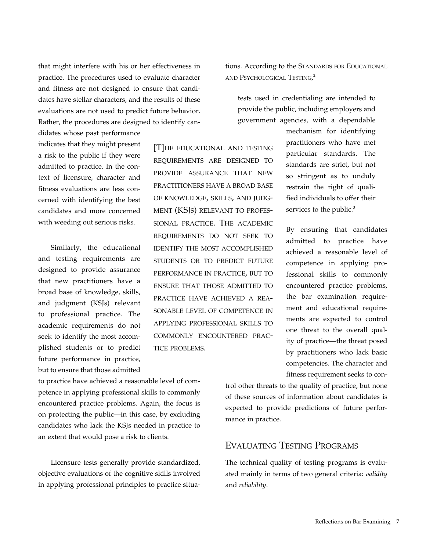that might interfere with his or her effectiveness in practice. The procedures used to evaluate character and fitness are not designed to ensure that candidates have stellar characters, and the results of these evaluations are not used to predict future behavior. Rather, the procedures are designed to identify can-

didates whose past performance indicates that they might present a risk to the public if they were admitted to practice. In the context of licensure, character and fitness evaluations are less concerned with identifying the best candidates and more concerned with weeding out serious risks.

Similarly, the educational and testing requirements are designed to provide assurance that new practitioners have a broad base of knowledge, skills, and judgment (KSJs) relevant to professional practice. The academic requirements do not seek to identify the most accomplished students or to predict future performance in practice, but to ensure that those admitted

[T]he educational and testing requirements are designed to provide assurance that new practitioners have a broad base of knowledge, skills, and judgment (KSJs) relevant to professional practice. The academic requirements do not seek to identify the most accomplished students or to predict future performance in practice, but to ensure that those admitted to practice have achieved a reasonable level of competence in applying professional skills to commonly encountered practice problems.

to practice have achieved a reasonable level of competence in applying professional skills to commonly encountered practice problems. Again, the focus is on protecting the public—in this case, by excluding candidates who lack the KSJs needed in practice to an extent that would pose a risk to clients.

Licensure tests generally provide standardized, objective evaluations of the cognitive skills involved in applying professional principles to practice situations. According to the STANDARDS FOR EDUCATIONAL and Psychological Testing, 2

tests used in credentialing are intended to provide the public, including employers and government agencies, with a dependable

> mechanism for identifying practitioners who have met particular standards. The standards are strict, but not so stringent as to unduly restrain the right of qualified individuals to offer their services to the public.<sup>3</sup>

By ensuring that candidates admitted to practice have achieved a reasonable level of competence in applying professional skills to commonly encountered practice problems, the bar examination requirement and educational requirements are expected to control one threat to the overall quality of practice—the threat posed by practitioners who lack basic competencies. The character and fitness requirement seeks to con-

trol other threats to the quality of practice, but none of these sources of information about candidates is expected to provide predictions of future performance in practice.

## Evaluating Testing Programs

The technical quality of testing programs is evaluated mainly in terms of two general criteria: *validity*  and *reliability*.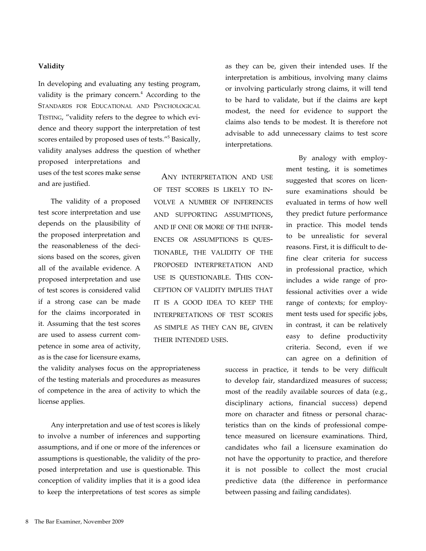#### **Validity**

In developing and evaluating any testing program, validity is the primary concern.<sup>4</sup> According to the Standards for Educational and Psychological TESTING, "validity refers to the degree to which evidence and theory support the interpretation of test scores entailed by proposed uses of tests."<sup>5</sup> Basically, validity analyses address the question of whether

proposed interpretations and uses of the test scores make sense and are justified.

The validity of a proposed test score interpretation and use depends on the plausibility of the proposed interpretation and the reasonableness of the decisions based on the scores, given all of the available evidence. A proposed interpretation and use of test scores is considered valid if a strong case can be made for the claims incorporated in it. Assuming that the test scores are used to assess current competence in some area of activity, as is the case for licensure exams,

Any interpretation and use of test scores is likely to involve a number of inferences and supporting assumptions, and if one or more of the inferences or assumptions is questionable, the validity of the proposed interpretation and use is questionable. This conception of validity implies that it is a good idea to keep the interpretations of test scores as simple as they can be, given their intended uses.

the validity analyses focus on the appropriateness of the testing materials and procedures as measures of competence in the area of activity to which the license applies.

Any interpretation and use of test scores is likely to involve a number of inferences and supporting assumptions, and if one or more of the inferences or assumptions is questionable, the validity of the proposed interpretation and use is questionable. This conception of validity implies that it is a good idea to keep the interpretations of test scores as simple as they can be, given their intended uses. If the interpretation is ambitious, involving many claims or involving particularly strong claims, it will tend to be hard to validate, but if the claims are kept modest, the need for evidence to support the claims also tends to be modest. It is therefore not advisable to add unnecessary claims to test score interpretations.

> By analogy with employment testing, it is sometimes suggested that scores on licensure examinations should be evaluated in terms of how well they predict future performance in practice. This model tends to be unrealistic for several reasons. First, it is difficult to define clear criteria for success in professional practice, which includes a wide range of professional activities over a wide range of contexts; for employment tests used for specific jobs, in contrast, it can be relatively easy to define productivity criteria. Second, even if we can agree on a definition of

success in practice, it tends to be very difficult to develop fair, standardized measures of success; most of the readily available sources of data (e.g., disciplinary actions, financial success) depend more on character and fitness or personal characteristics than on the kinds of professional competence measured on licensure examinations. Third, candidates who fail a licensure examination do not have the opportunity to practice, and therefore it is not possible to collect the most crucial predictive data (the difference in performance between passing and failing candidates).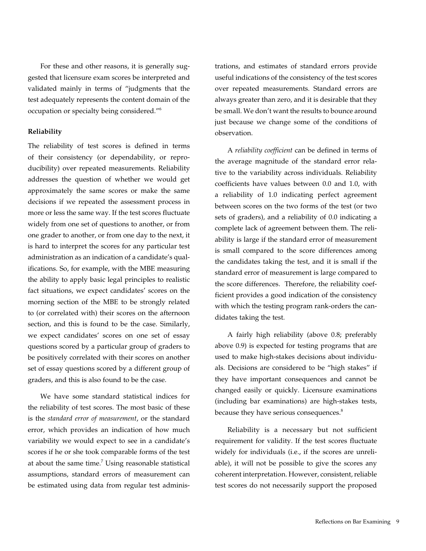For these and other reasons, it is generally suggested that licensure exam scores be interpreted and validated mainly in terms of "judgments that the test adequately represents the content domain of the occupation or specialty being considered."6

#### **Reliability**

The reliability of test scores is defined in terms of their consistency (or dependability, or reproducibility) over repeated measurements. Reliability addresses the question of whether we would get approximately the same scores or make the same decisions if we repeated the assessment process in more or less the same way. If the test scores fluctuate widely from one set of questions to another, or from one grader to another, or from one day to the next, it is hard to interpret the scores for any particular test administration as an indication of a candidate's qualifications. So, for example, with the MBE measuring the ability to apply basic legal principles to realistic fact situations, we expect candidates' scores on the morning section of the MBE to be strongly related to (or correlated with) their scores on the afternoon section, and this is found to be the case. Similarly, we expect candidates' scores on one set of essay questions scored by a particular group of graders to be positively correlated with their scores on another set of essay questions scored by a different group of graders, and this is also found to be the case.

We have some standard statistical indices for the reliability of test scores. The most basic of these is the *standard error of measurement*, or the standard error, which provides an indication of how much variability we would expect to see in a candidate's scores if he or she took comparable forms of the test at about the same time.<sup>7</sup> Using reasonable statistical assumptions, standard errors of measurement can be estimated using data from regular test adminis-

trations, and estimates of standard errors provide useful indications of the consistency of the test scores over repeated measurements. Standard errors are always greater than zero, and it is desirable that they be small. We don't want the results to bounce around just because we change some of the conditions of observation.

A *reliability coefficient* can be defined in terms of the average magnitude of the standard error relative to the variability across individuals. Reliability coefficients have values between 0.0 and 1.0, with a reliability of 1.0 indicating perfect agreement between scores on the two forms of the test (or two sets of graders), and a reliability of 0.0 indicating a complete lack of agreement between them. The reliability is large if the standard error of measurement is small compared to the score differences among the candidates taking the test, and it is small if the standard error of measurement is large compared to the score differences. Therefore, the reliability coefficient provides a good indication of the consistency with which the testing program rank-orders the candidates taking the test.

A fairly high reliability (above 0.8; preferably above 0.9) is expected for testing programs that are used to make high-stakes decisions about individuals. Decisions are considered to be "high stakes" if they have important consequences and cannot be changed easily or quickly. Licensure examinations (including bar examinations) are high-stakes tests, because they have serious consequences.<sup>8</sup>

Reliability is a necessary but not sufficient requirement for validity. If the test scores fluctuate widely for individuals (i.e., if the scores are unreliable), it will not be possible to give the scores any coherent interpretation. However, consistent, reliable test scores do not necessarily support the proposed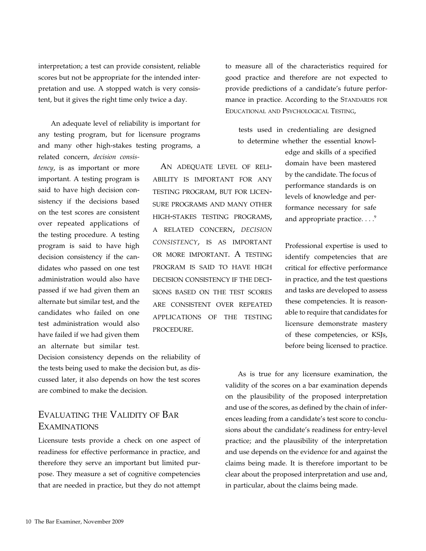interpretation; a test can provide consistent, reliable scores but not be appropriate for the intended interpretation and use. A stopped watch is very consistent, but it gives the right time only twice a day.

An adequate level of reliability is important for any testing program, but for licensure programs and many other high-stakes testing programs, a related concern, *decision consis-*

*tency*, is as important or more important. A testing program is said to have high decision consistency if the decisions based on the test scores are consistent over repeated applications of the testing procedure. A testing program is said to have high decision consistency if the candidates who passed on one test administration would also have passed if we had given them an alternate but similar test, and the candidates who failed on one test administration would also have failed if we had given them an alternate but similar test.

AN ADEOUATE LEVEL OF RELIability is important for any testing program, but for licensure programs and many other high-stakes testing programs, a related concern, *decision consistency,* is as important or more important. A testing program is said to have high decision consistency if the decisions based on the test scores are consistent over repeated applications of the testing procedure.

Decision consistency depends on the reliability of the tests being used to make the decision but, as discussed later, it also depends on how the test scores are combined to make the decision.

# Evaluating the Validity of Bar Examinations

Licensure tests provide a check on one aspect of readiness for effective performance in practice, and therefore they serve an important but limited purpose. They measure a set of cognitive competencies that are needed in practice, but they do not attempt to measure all of the characteristics required for good practice and therefore are not expected to provide predictions of a candidate's future performance in practice. According to the STANDARDS FOR Educational and Psychological Testing,

tests used in credentialing are designed to determine whether the essential knowl-

> edge and skills of a specified domain have been mastered by the candidate. The focus of performance standards is on levels of knowledge and performance necessary for safe and appropriate practice.  $\ldots$ <sup>9</sup>

Professional expertise is used to identify competencies that are critical for effective performance in practice, and the test questions and tasks are developed to assess these competencies. It is reasonable to require that candidates for licensure demonstrate mastery of these competencies, or KSJs, before being licensed to practice.

As is true for any licensure examination, the validity of the scores on a bar examination depends on the plausibility of the proposed interpretation and use of the scores, as defined by the chain of inferences leading from a candidate's test score to conclusions about the candidate's readiness for entry-level practice; and the plausibility of the interpretation and use depends on the evidence for and against the claims being made. It is therefore important to be clear about the proposed interpretation and use and, in particular, about the claims being made.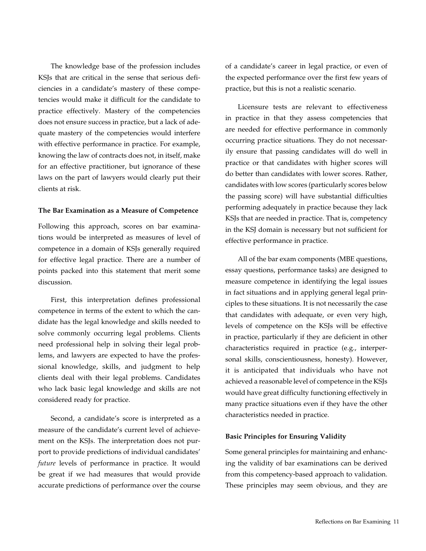The knowledge base of the profession includes KSJs that are critical in the sense that serious deficiencies in a candidate's mastery of these competencies would make it difficult for the candidate to practice effectively. Mastery of the competencies does not ensure success in practice, but a lack of adequate mastery of the competencies would interfere with effective performance in practice. For example, knowing the law of contracts does not, in itself, make for an effective practitioner, but ignorance of these laws on the part of lawyers would clearly put their clients at risk.

#### **The Bar Examination as a Measure of Competence**

Following this approach, scores on bar examinations would be interpreted as measures of level of competence in a domain of KSJs generally required for effective legal practice. There are a number of points packed into this statement that merit some discussion.

First, this interpretation defines professional competence in terms of the extent to which the candidate has the legal knowledge and skills needed to solve commonly occurring legal problems. Clients need professional help in solving their legal problems, and lawyers are expected to have the professional knowledge, skills, and judgment to help clients deal with their legal problems. Candidates who lack basic legal knowledge and skills are not considered ready for practice.

Second, a candidate's score is interpreted as a measure of the candidate's current level of achievement on the KSJs. The interpretation does not purport to provide predictions of individual candidates' *future* levels of performance in practice. It would be great if we had measures that would provide accurate predictions of performance over the course of a candidate's career in legal practice, or even of the expected performance over the first few years of practice, but this is not a realistic scenario.

Licensure tests are relevant to effectiveness in practice in that they assess competencies that are needed for effective performance in commonly occurring practice situations. They do not necessarily ensure that passing candidates will do well in practice or that candidates with higher scores will do better than candidates with lower scores. Rather, candidates with low scores (particularly scores below the passing score) will have substantial difficulties performing adequately in practice because they lack KSJs that are needed in practice. That is, competency in the KSJ domain is necessary but not sufficient for effective performance in practice.

All of the bar exam components (MBE questions, essay questions, performance tasks) are designed to measure competence in identifying the legal issues in fact situations and in applying general legal principles to these situations. It is not necessarily the case that candidates with adequate, or even very high, levels of competence on the KSJs will be effective in practice, particularly if they are deficient in other characteristics required in practice (e.g., interpersonal skills, conscientiousness, honesty). However, it is anticipated that individuals who have not achieved a reasonable level of competence in the KSJs would have great difficulty functioning effectively in many practice situations even if they have the other characteristics needed in practice.

#### **Basic Principles for Ensuring Validity**

Some general principles for maintaining and enhancing the validity of bar examinations can be derived from this competency-based approach to validation. These principles may seem obvious, and they are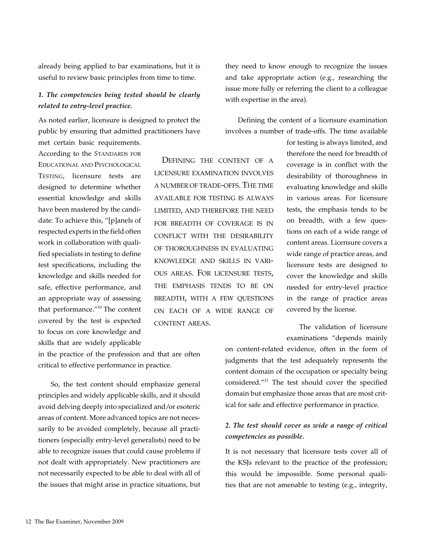already being applied to bar examinations, but it is useful to review basic principles from time to time.

## *1. The competencies being tested should be clearly related to entry-level practice.*

As noted earlier, licensure is designed to protect the public by ensuring that admitted practitioners have

met certain basic requirements. According to the *STANDARDS* FOR Educational and Psychological TESTING, licensure tests are designed to determine whether essential knowledge and skills have been mastered by the candidate. To achieve this, "[p]anels of respected experts in the field often work in collaboration with qualified specialists in testing to define test specifications, including the knowledge and skills needed for safe, effective performance, and an appropriate way of assessing that performance."10 The content covered by the test is expected to focus on core knowledge and skills that are widely applicable

Defining the content of a licensure examination involves a number of trade-offs. The time available for testing is always limited, and therefore the need for breadth of coverage is in conflict with the desirability of thoroughness in evaluating knowledge and skills in various areas. For licensure tests, the emphasis tends to be on breadth, with a few questions on each of a wide range of content areas.

they need to know enough to recognize the issues and take appropriate action (e.g., researching the issue more fully or referring the client to a colleague with expertise in the area).

Defining the content of a licensure examination involves a number of trade-offs. The time available

> for testing is always limited, and therefore the need for breadth of coverage is in conflict with the desirability of thoroughness in evaluating knowledge and skills in various areas. For licensure tests, the emphasis tends to be on breadth, with a few questions on each of a wide range of content areas. Licensure covers a wide range of practice areas, and licensure tests are designed to cover the knowledge and skills needed for entry-level practice in the range of practice areas covered by the license.

> The validation of licensure examinations "depends mainly

in the practice of the profession and that are often critical to effective performance in practice.

So, the test content should emphasize general principles and widely applicable skills, and it should avoid delving deeply into specialized and/or esoteric areas of content. More advanced topics are not necessarily to be avoided completely, because all practitioners (especially entry-level generalists) need to be able to recognize issues that could cause problems if not dealt with appropriately. New practitioners are not necessarily expected to be able to deal with all of the issues that might arise in practice situations, but

on content-related evidence, often in the form of judgments that the test adequately represents the content domain of the occupation or specialty being considered."11 The test should cover the specified domain but emphasize those areas that are most critical for safe and effective performance in practice.

#### *2. The test should cover as wide a range of critical competencies as possible.*

It is not necessary that licensure tests cover all of the KSJs relevant to the practice of the profession; this would be impossible. Some personal qualities that are not amenable to testing (e.g., integrity,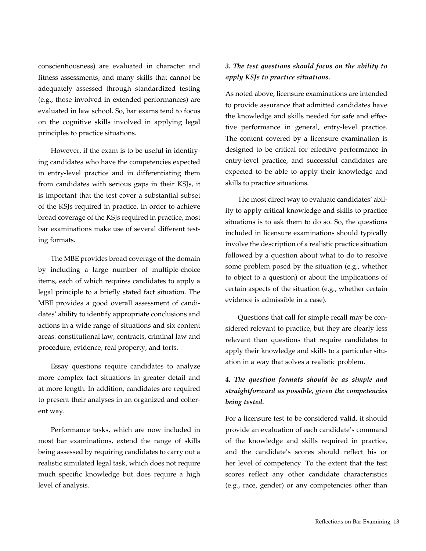conscientiousness) are evaluated in character and fitness assessments, and many skills that cannot be adequately assessed through standardized testing (e.g., those involved in extended performances) are evaluated in law school. So, bar exams tend to focus on the cognitive skills involved in applying legal principles to practice situations.

However, if the exam is to be useful in identifying candidates who have the competencies expected in entry-level practice and in differentiating them from candidates with serious gaps in their KSJs, it is important that the test cover a substantial subset of the KSJs required in practice. In order to achieve broad coverage of the KSJs required in practice, most bar examinations make use of several different testing formats.

The MBE provides broad coverage of the domain by including a large number of multiple-choice items, each of which requires candidates to apply a legal principle to a briefly stated fact situation. The MBE provides a good overall assessment of candidates' ability to identify appropriate conclusions and actions in a wide range of situations and six content areas: constitutional law, contracts, criminal law and procedure, evidence, real property, and torts.

Essay questions require candidates to analyze more complex fact situations in greater detail and at more length. In addition, candidates are required to present their analyses in an organized and coherent way.

Performance tasks, which are now included in most bar examinations, extend the range of skills being assessed by requiring candidates to carry out a realistic simulated legal task, which does not require much specific knowledge but does require a high level of analysis.

#### *3. The test questions should focus on the ability to apply KSJs to practice situations.*

As noted above, licensure examinations are intended to provide assurance that admitted candidates have the knowledge and skills needed for safe and effective performance in general, entry-level practice. The content covered by a licensure examination is designed to be critical for effective performance in entry-level practice, and successful candidates are expected to be able to apply their knowledge and skills to practice situations.

The most direct way to evaluate candidates' ability to apply critical knowledge and skills to practice situations is to ask them to do so. So, the questions included in licensure examinations should typically involve the description of a realistic practice situation followed by a question about what to do to resolve some problem posed by the situation (e.g., whether to object to a question) or about the implications of certain aspects of the situation (e.g., whether certain evidence is admissible in a case).

Questions that call for simple recall may be considered relevant to practice, but they are clearly less relevant than questions that require candidates to apply their knowledge and skills to a particular situation in a way that solves a realistic problem.

## *4. The question formats should be as simple and straightforward as possible, given the competencies being tested.*

For a licensure test to be considered valid, it should provide an evaluation of each candidate's command of the knowledge and skills required in practice, and the candidate's scores should reflect his or her level of competency. To the extent that the test scores reflect any other candidate characteristics (e.g., race, gender) or any competencies other than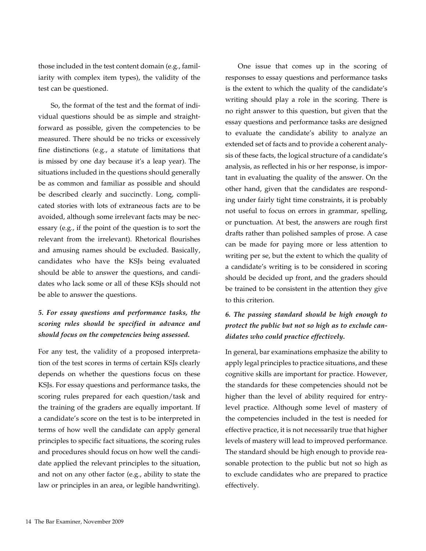those included in the test content domain (e.g., familiarity with complex item types), the validity of the test can be questioned.

So, the format of the test and the format of individual questions should be as simple and straightforward as possible, given the competencies to be measured. There should be no tricks or excessively fine distinctions (e.g., a statute of limitations that is missed by one day because it's a leap year). The situations included in the questions should generally be as common and familiar as possible and should be described clearly and succinctly. Long, complicated stories with lots of extraneous facts are to be avoided, although some irrelevant facts may be necessary (e.g., if the point of the question is to sort the relevant from the irrelevant). Rhetorical flourishes and amusing names should be excluded. Basically, candidates who have the KSJs being evaluated should be able to answer the questions, and candidates who lack some or all of these KSJs should not be able to answer the questions.

## *5. For essay questions and performance tasks, the scoring rules should be specified in advance and should focus on the competencies being assessed.*

For any test, the validity of a proposed interpretation of the test scores in terms of certain KSJs clearly depends on whether the questions focus on these KSJs. For essay questions and performance tasks, the scoring rules prepared for each question/task and the training of the graders are equally important. If a candidate's score on the test is to be interpreted in terms of how well the candidate can apply general principles to specific fact situations, the scoring rules and procedures should focus on how well the candidate applied the relevant principles to the situation, and not on any other factor (e.g., ability to state the law or principles in an area, or legible handwriting).

One issue that comes up in the scoring of responses to essay questions and performance tasks is the extent to which the quality of the candidate's writing should play a role in the scoring. There is no right answer to this question, but given that the essay questions and performance tasks are designed to evaluate the candidate's ability to analyze an extended set of facts and to provide a coherent analysis of these facts, the logical structure of a candidate's analysis, as reflected in his or her response, is important in evaluating the quality of the answer. On the other hand, given that the candidates are responding under fairly tight time constraints, it is probably not useful to focus on errors in grammar, spelling, or punctuation. At best, the answers are rough first drafts rather than polished samples of prose. A case can be made for paying more or less attention to writing per se, but the extent to which the quality of a candidate's writing is to be considered in scoring should be decided up front, and the graders should be trained to be consistent in the attention they give to this criterion.

## *6. The passing standard should be high enough to protect the public but not so high as to exclude candidates who could practice effectively.*

In general, bar examinations emphasize the ability to apply legal principles to practice situations, and these cognitive skills are important for practice. However, the standards for these competencies should not be higher than the level of ability required for entrylevel practice. Although some level of mastery of the competencies included in the test is needed for effective practice, it is not necessarily true that higher levels of mastery will lead to improved performance. The standard should be high enough to provide reasonable protection to the public but not so high as to exclude candidates who are prepared to practice effectively.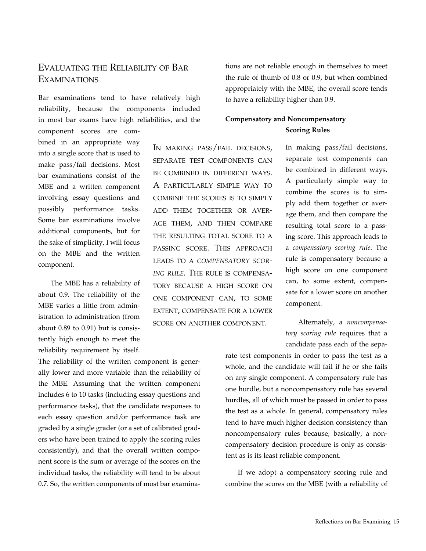# Evaluating the Reliability of Bar Examinations

Bar examinations tend to have relatively high reliability, because the components included in most bar exams have high reliabilities, and the

component scores are combined in an appropriate way into a single score that is used to make pass/fail decisions. Most bar examinations consist of the MBE and a written component involving essay questions and possibly performance tasks. Some bar examinations involve additional components, but for the sake of simplicity, I will focus on the MBE and the written component.

The MBE has a reliability of about 0.9. The reliability of the MBE varies a little from administration to administration (from about 0.89 to 0.91) but is consistently high enough to meet the reliability requirement by itself.

The reliability of the written component is generally lower and more variable than the reliability of the MBE. Assuming that the written component includes 6 to 10 tasks (including essay questions and performance tasks), that the candidate responses to each essay question and/or performance task are graded by a single grader (or a set of calibrated graders who have been trained to apply the scoring rules consistently), and that the overall written component score is the sum or average of the scores on the individual tasks, the reliability will tend to be about 0.7. So, the written components of most bar examinations are not reliable enough in themselves to meet the rule of thumb of 0.8 or 0.9, but when combined appropriately with the MBE, the overall score tends to have a reliability higher than 0.9.

## **Compensatory and Noncompensatory Scoring Rules**

In making pass/fail decisions, separate test components can be combined in different ways. A particularly simple way to combine the scores is to simply add them together or average them, and then compare the resulting total score to a passing score. This approach leads to a *compensatory scoring rule.* The rule is compensatory because a high score on one component can, to some extent, compensate for a lower score on another component.

In making pass/fail decisions, separate test components can be combined in different ways. A particularly simple way to combine the scores is to simply add them together or average them, and then compare the resulting total score to a passing score. This approach leads to a *compensatory scoring rule*. The rule is compensatory because a high score on one component can, to some extent, compensate for a lower score on another component.

Alternately, a *noncompensatory scoring rule* requires that a candidate pass each of the sepa-

rate test components in order to pass the test as a whole, and the candidate will fail if he or she fails on any single component. A compensatory rule has one hurdle, but a noncompensatory rule has several hurdles, all of which must be passed in order to pass the test as a whole. In general, compensatory rules tend to have much higher decision consistency than noncompensatory rules because, basically, a noncompensatory decision procedure is only as consistent as is its least reliable component.

If we adopt a compensatory scoring rule and combine the scores on the MBE (with a reliability of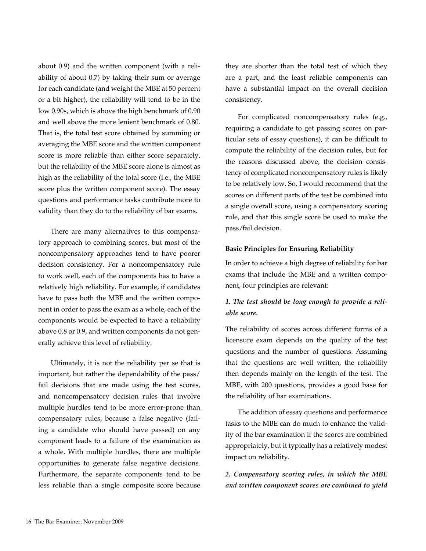about 0.9) and the written component (with a reliability of about 0.7) by taking their sum or average for each candidate (and weight the MBE at 50 percent or a bit higher), the reliability will tend to be in the low 0.90s, which is above the high benchmark of 0.90 and well above the more lenient benchmark of 0.80. That is, the total test score obtained by summing or averaging the MBE score and the written component score is more reliable than either score separately, but the reliability of the MBE score alone is almost as high as the reliability of the total score (i.e., the MBE score plus the written component score). The essay questions and performance tasks contribute more to validity than they do to the reliability of bar exams.

There are many alternatives to this compensatory approach to combining scores, but most of the noncompensatory approaches tend to have poorer decision consistency. For a noncompensatory rule to work well, each of the components has to have a relatively high reliability. For example, if candidates have to pass both the MBE and the written component in order to pass the exam as a whole, each of the components would be expected to have a reliability above 0.8 or 0.9, and written components do not generally achieve this level of reliability.

Ultimately, it is not the reliability per se that is important, but rather the dependability of the pass/ fail decisions that are made using the test scores, and noncompensatory decision rules that involve multiple hurdles tend to be more error-prone than compensatory rules, because a false negative (failing a candidate who should have passed) on any component leads to a failure of the examination as a whole. With multiple hurdles, there are multiple opportunities to generate false negative decisions. Furthermore, the separate components tend to be less reliable than a single composite score because they are shorter than the total test of which they are a part, and the least reliable components can have a substantial impact on the overall decision consistency.

For complicated noncompensatory rules (e.g., requiring a candidate to get passing scores on particular sets of essay questions), it can be difficult to compute the reliability of the decision rules, but for the reasons discussed above, the decision consistency of complicated noncompensatory rules is likely to be relatively low. So, I would recommend that the scores on different parts of the test be combined into a single overall score, using a compensatory scoring rule, and that this single score be used to make the pass/fail decision.

#### **Basic Principles for Ensuring Reliability**

In order to achieve a high degree of reliability for bar exams that include the MBE and a written component, four principles are relevant:

### *1. The test should be long enough to provide a reliable score.*

The reliability of scores across different forms of a licensure exam depends on the quality of the test questions and the number of questions. Assuming that the questions are well written, the reliability then depends mainly on the length of the test. The MBE, with 200 questions, provides a good base for the reliability of bar examinations.

The addition of essay questions and performance tasks to the MBE can do much to enhance the validity of the bar examination if the scores are combined appropriately, but it typically has a relatively modest impact on reliability.

*2. Compensatory scoring rules, in which the MBE and written component scores are combined to yield*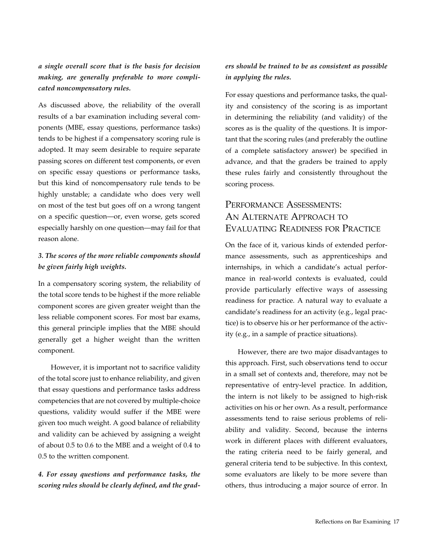*a single overall score that is the basis for decision making, are generally preferable to more complicated noncompensatory rules.*

As discussed above, the reliability of the overall results of a bar examination including several components (MBE, essay questions, performance tasks) tends to be highest if a compensatory scoring rule is adopted. It may seem desirable to require separate passing scores on different test components, or even on specific essay questions or performance tasks, but this kind of noncompensatory rule tends to be highly unstable; a candidate who does very well on most of the test but goes off on a wrong tangent on a specific question—or, even worse, gets scored especially harshly on one question—may fail for that reason alone.

## *3. The scores of the more reliable components should be given fairly high weights.*

In a compensatory scoring system, the reliability of the total score tends to be highest if the more reliable component scores are given greater weight than the less reliable component scores. For most bar exams, this general principle implies that the MBE should generally get a higher weight than the written component.

However, it is important not to sacrifice validity of the total score just to enhance reliability, and given that essay questions and performance tasks address competencies that are not covered by multiple-choice questions, validity would suffer if the MBE were given too much weight. A good balance of reliability and validity can be achieved by assigning a weight of about 0.5 to 0.6 to the MBE and a weight of 0.4 to 0.5 to the written component.

## *4. For essay questions and performance tasks, the scoring rules should be clearly defined, and the grad-*

#### *ers should be trained to be as consistent as possible in applying the rules.*

For essay questions and performance tasks, the quality and consistency of the scoring is as important in determining the reliability (and validity) of the scores as is the quality of the questions. It is important that the scoring rules (and preferably the outline of a complete satisfactory answer) be specified in advance, and that the graders be trained to apply these rules fairly and consistently throughout the scoring process.

# Performance Assessments: AN ALTERNATE APPROACH TO Evaluating Readiness for Practice

On the face of it, various kinds of extended performance assessments, such as apprenticeships and internships, in which a candidate's actual performance in real-world contexts is evaluated, could provide particularly effective ways of assessing readiness for practice. A natural way to evaluate a candidate's readiness for an activity (e.g., legal practice) is to observe his or her performance of the activity (e.g., in a sample of practice situations).

However, there are two major disadvantages to this approach. First, such observations tend to occur in a small set of contexts and, therefore, may not be representative of entry-level practice. In addition, the intern is not likely to be assigned to high-risk activities on his or her own. As a result, performance assessments tend to raise serious problems of reliability and validity. Second, because the interns work in different places with different evaluators, the rating criteria need to be fairly general, and general criteria tend to be subjective. In this context, some evaluators are likely to be more severe than others, thus introducing a major source of error. In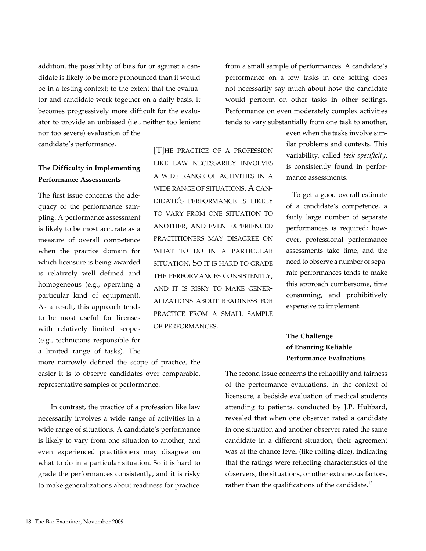addition, the possibility of bias for or against a candidate is likely to be more pronounced than it would be in a testing context; to the extent that the evaluator and candidate work together on a daily basis, it becomes progressively more difficult for the evaluator to provide an unbiased (i.e., neither too lenient nor too severe) evaluation of the

candidate's performance.

## **The Difficulty in Implementing Performance Assessments**

The first issue concerns the adequacy of the performance sampling. A performance assessment is likely to be most accurate as a measure of overall competence when the practice domain for which licensure is being awarded is relatively well defined and homogeneous (e.g., operating a particular kind of equipment). As a result, this approach tends to be most useful for licenses with relatively limited scopes (e.g., technicians responsible for a limited range of tasks). The

more narrowly defined the scope of practice, the easier it is to observe candidates over comparable, representative samples of performance.

In contrast, the practice of a profession like law necessarily involves a wide range of activities in a wide range of situations. A candidate's performance is likely to vary from one situation to another, and even experienced practitioners may disagree on what to do in a particular situation. So it is hard to grade the performances consistently, and it is risky to make generalizations about readiness for practice

[T]he practice of a profession like law necessarily involves a wide range of activities in a wide range of situations. A candidate's performance is likely to vary from one situation to another, and even experienced practitioners may disagree on what to do in a particular situation. So it is hard to grade the performances consistently, and it is risky to make generalizations about readiness for practice from a small sample of performances.

from a small sample of performances. A candidate's performance on a few tasks in one setting does not necessarily say much about how the candidate would perform on other tasks in other settings. Performance on even moderately complex activities tends to vary substantially from one task to another,

> even when the tasks involve similar problems and contexts. This variability, called *task specificity*, is consistently found in performance assessments.

> To get a good overall estimate of a candidate's competence, a fairly large number of separate performances is required; however, professional performance assessments take time, and the need to observe a number of separate performances tends to make this approach cumbersome, time consuming, and prohibitively expensive to implement.

## **The Challenge of Ensuring Reliable Performance Evaluations**

The second issue concerns the reliability and fairness of the performance evaluations. In the context of licensure, a bedside evaluation of medical students attending to patients, conducted by J.P. Hubbard, revealed that when one observer rated a candidate in one situation and another observer rated the same candidate in a different situation, their agreement was at the chance level (like rolling dice), indicating that the ratings were reflecting characteristics of the observers, the situations, or other extraneous factors, rather than the qualifications of the candidate.<sup>12</sup>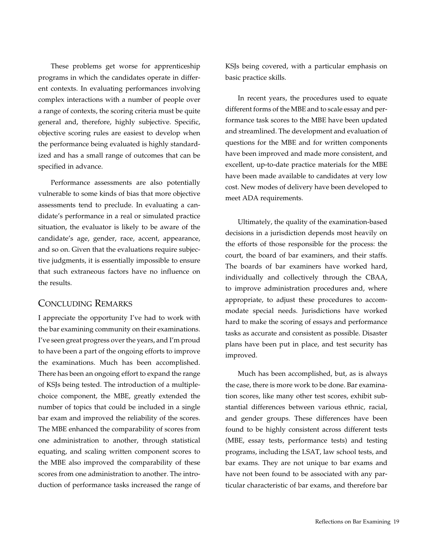These problems get worse for apprenticeship programs in which the candidates operate in different contexts. In evaluating performances involving complex interactions with a number of people over a range of contexts, the scoring criteria must be quite general and, therefore, highly subjective. Specific, objective scoring rules are easiest to develop when the performance being evaluated is highly standardized and has a small range of outcomes that can be specified in advance.

Performance assessments are also potentially vulnerable to some kinds of bias that more objective assessments tend to preclude. In evaluating a candidate's performance in a real or simulated practice situation, the evaluator is likely to be aware of the candidate's age, gender, race, accent, appearance, and so on. Given that the evaluations require subjective judgments, it is essentially impossible to ensure that such extraneous factors have no influence on the results.

#### Concluding Remarks

I appreciate the opportunity I've had to work with the bar examining community on their examinations. I've seen great progress over the years, and I'm proud to have been a part of the ongoing efforts to improve the examinations. Much has been accomplished. There has been an ongoing effort to expand the range of KSJs being tested. The introduction of a multiplechoice component, the MBE, greatly extended the number of topics that could be included in a single bar exam and improved the reliability of the scores. The MBE enhanced the comparability of scores from one administration to another, through statistical equating, and scaling written component scores to the MBE also improved the comparability of these scores from one administration to another. The introduction of performance tasks increased the range of KSJs being covered, with a particular emphasis on basic practice skills.

In recent years, the procedures used to equate different forms of the MBE and to scale essay and performance task scores to the MBE have been updated and streamlined. The development and evaluation of questions for the MBE and for written components have been improved and made more consistent, and excellent, up-to-date practice materials for the MBE have been made available to candidates at very low cost. New modes of delivery have been developed to meet ADA requirements.

Ultimately, the quality of the examination-based decisions in a jurisdiction depends most heavily on the efforts of those responsible for the process: the court, the board of bar examiners, and their staffs. The boards of bar examiners have worked hard, individually and collectively through the CBAA, to improve administration procedures and, where appropriate, to adjust these procedures to accommodate special needs. Jurisdictions have worked hard to make the scoring of essays and performance tasks as accurate and consistent as possible. Disaster plans have been put in place, and test security has improved.

Much has been accomplished, but, as is always the case, there is more work to be done. Bar examination scores, like many other test scores, exhibit substantial differences between various ethnic, racial, and gender groups. These differences have been found to be highly consistent across different tests (MBE, essay tests, performance tests) and testing programs, including the LSAT, law school tests, and bar exams. They are not unique to bar exams and have not been found to be associated with any particular characteristic of bar exams, and therefore bar